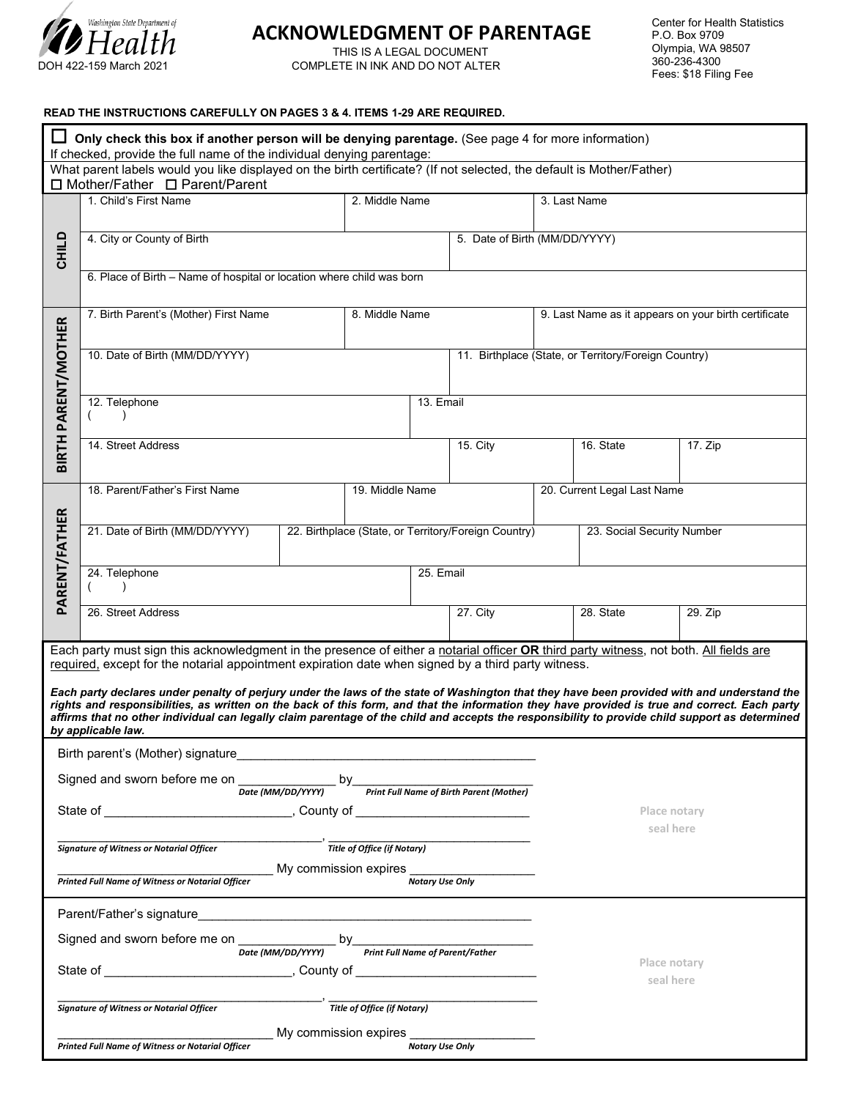

# Washington State Department of<br> **LI** *C* all be **ACKNOWLEDGMENT OF PARENTAGE**

**THIS IS A LEGAL DOCUMENT<br>DOH 422-159 March 2021** COMPLETE IN INK AND DO NOT ALTE COMPLETE IN INK AND DO NOT ALTER

#### **READ THE INSTRUCTIONS CAREFULLY ON PAGES 3 & 4. ITEMS 1-29 ARE REQUIRED.**

| $\Box$ Only check this box if another person will be denying parentage. (See page 4 for more information)<br>If checked, provide the full name of the individual denying parentage:                                                                                                                                                                                                                                                                                                                                                                                                                                                                                                                                    |                                                                       |                                                      |  |                                                      |                                                      |  |         |
|------------------------------------------------------------------------------------------------------------------------------------------------------------------------------------------------------------------------------------------------------------------------------------------------------------------------------------------------------------------------------------------------------------------------------------------------------------------------------------------------------------------------------------------------------------------------------------------------------------------------------------------------------------------------------------------------------------------------|-----------------------------------------------------------------------|------------------------------------------------------|--|------------------------------------------------------|------------------------------------------------------|--|---------|
| What parent labels would you like displayed on the birth certificate? (If not selected, the default is Mother/Father)<br>□ Mother/Father □ Parent/Parent                                                                                                                                                                                                                                                                                                                                                                                                                                                                                                                                                               |                                                                       |                                                      |  |                                                      |                                                      |  |         |
|                                                                                                                                                                                                                                                                                                                                                                                                                                                                                                                                                                                                                                                                                                                        | 1. Child's First Name<br>2. Middle Name                               |                                                      |  |                                                      | 3. Last Name                                         |  |         |
| <b>CHILD</b>                                                                                                                                                                                                                                                                                                                                                                                                                                                                                                                                                                                                                                                                                                           | 4. City or County of Birth                                            |                                                      |  | 5. Date of Birth (MM/DD/YYYY)                        |                                                      |  |         |
|                                                                                                                                                                                                                                                                                                                                                                                                                                                                                                                                                                                                                                                                                                                        | 6. Place of Birth - Name of hospital or location where child was born |                                                      |  |                                                      |                                                      |  |         |
|                                                                                                                                                                                                                                                                                                                                                                                                                                                                                                                                                                                                                                                                                                                        | 7. Birth Parent's (Mother) First Name<br>8. Middle Name               |                                                      |  |                                                      | 9. Last Name as it appears on your birth certificate |  |         |
| <b>BIRTH PARENT/MOTHER</b>                                                                                                                                                                                                                                                                                                                                                                                                                                                                                                                                                                                                                                                                                             | 10. Date of Birth (MM/DD/YYYY)                                        |                                                      |  | 11. Birthplace (State, or Territory/Foreign Country) |                                                      |  |         |
|                                                                                                                                                                                                                                                                                                                                                                                                                                                                                                                                                                                                                                                                                                                        | 12. Telephone                                                         |                                                      |  | 13. Email                                            |                                                      |  |         |
|                                                                                                                                                                                                                                                                                                                                                                                                                                                                                                                                                                                                                                                                                                                        | 14. Street Address                                                    |                                                      |  | 15. City                                             | 16. State                                            |  | 17. Zip |
|                                                                                                                                                                                                                                                                                                                                                                                                                                                                                                                                                                                                                                                                                                                        | 18. Parent/Father's First Name<br>19. Middle Name                     |                                                      |  |                                                      | 20. Current Legal Last Name                          |  |         |
| PARENT/FATHER                                                                                                                                                                                                                                                                                                                                                                                                                                                                                                                                                                                                                                                                                                          | 21. Date of Birth (MM/DD/YYYY)                                        | 22. Birthplace (State, or Territory/Foreign Country) |  | 23. Social Security Number                           |                                                      |  |         |
|                                                                                                                                                                                                                                                                                                                                                                                                                                                                                                                                                                                                                                                                                                                        | 24. Telephone                                                         |                                                      |  | 25. Email                                            |                                                      |  |         |
|                                                                                                                                                                                                                                                                                                                                                                                                                                                                                                                                                                                                                                                                                                                        | 26. Street Address                                                    |                                                      |  | 27. City                                             | 28. State                                            |  | 29. Zip |
| Each party must sign this acknowledgment in the presence of either a notarial officer OR third party witness, not both. All fields are<br>required, except for the notarial appointment expiration date when signed by a third party witness.<br>Each party declares under penalty of perjury under the laws of the state of Washington that they have been provided with and understand the<br>rights and responsibilities, as written on the back of this form, and that the information they have provided is true and correct. Each party<br>affirms that no other individual can legally claim parentage of the child and accepts the responsibility to provide child support as determined<br>by applicable law. |                                                                       |                                                      |  |                                                      |                                                      |  |         |
| Birth parent's (Mother) signature                                                                                                                                                                                                                                                                                                                                                                                                                                                                                                                                                                                                                                                                                      |                                                                       |                                                      |  |                                                      |                                                      |  |         |
| Signed and sworn before me on ____________<br>Date (MM/DD/YYYY) by Print Full Name of Birth Parent (Mother)                                                                                                                                                                                                                                                                                                                                                                                                                                                                                                                                                                                                            |                                                                       |                                                      |  |                                                      |                                                      |  |         |
|                                                                                                                                                                                                                                                                                                                                                                                                                                                                                                                                                                                                                                                                                                                        |                                                                       |                                                      |  |                                                      | Place notary<br>seal here                            |  |         |
|                                                                                                                                                                                                                                                                                                                                                                                                                                                                                                                                                                                                                                                                                                                        | <b>Signature of Witness or Notarial Officer</b>                       |                                                      |  |                                                      |                                                      |  |         |
| My commission expires ______________________<br>Printed Full Name of Witness or Notarial Officer<br><b>Notary Use Only</b>                                                                                                                                                                                                                                                                                                                                                                                                                                                                                                                                                                                             |                                                                       |                                                      |  |                                                      |                                                      |  |         |
| Parent/Father's signature<br>and the control of the control of the control of the control of the control of the control of the control of the                                                                                                                                                                                                                                                                                                                                                                                                                                                                                                                                                                          |                                                                       |                                                      |  |                                                      |                                                      |  |         |
| Signed and sworn before me on $\frac{1}{\text{Date (MM/DD/YYY)}}$ by Print Full Name of Parent/Father                                                                                                                                                                                                                                                                                                                                                                                                                                                                                                                                                                                                                  |                                                                       |                                                      |  |                                                      |                                                      |  |         |
|                                                                                                                                                                                                                                                                                                                                                                                                                                                                                                                                                                                                                                                                                                                        |                                                                       |                                                      |  |                                                      | Place notary<br>seal here                            |  |         |
|                                                                                                                                                                                                                                                                                                                                                                                                                                                                                                                                                                                                                                                                                                                        | <b>Signature of Witness or Notarial Officer</b>                       |                                                      |  |                                                      |                                                      |  |         |
| My commission expires ______________________<br>Printed Full Name of Witness or Notarial Officer<br><b>Notary Use Only</b>                                                                                                                                                                                                                                                                                                                                                                                                                                                                                                                                                                                             |                                                                       |                                                      |  |                                                      |                                                      |  |         |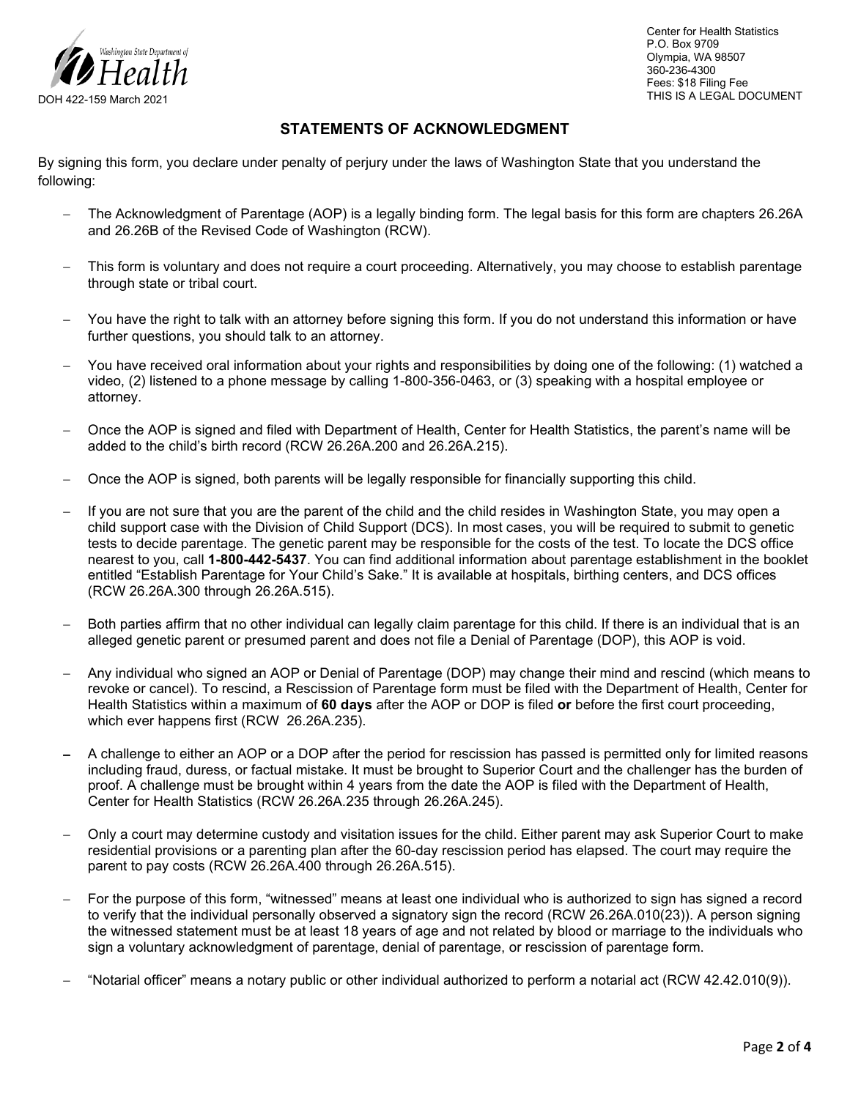

Center for Health Statistics P.O. Box 9709 Olympia, WA 98507 360-236-4300 Fees: \$18 Filing Fee THIS IS A LEGAL DOCUMENT

## **STATEMENTS OF ACKNOWLEDGMENT**

By signing this form, you declare under penalty of perjury under the laws of Washington State that you understand the following:

- − The Acknowledgment of Parentage (AOP) is a legally binding form. The legal basis for this form are chapters 26.26A and 26.26B of the Revised Code of Washington (RCW).
- This form is voluntary and does not require a court proceeding. Alternatively, you may choose to establish parentage through state or tribal court.
- You have the right to talk with an attorney before signing this form. If you do not understand this information or have further questions, you should talk to an attorney.
- − You have received oral information about your rights and responsibilities by doing one of the following: (1) watched a video, (2) listened to a phone message by calling 1-800-356-0463, or (3) speaking with a hospital employee or attorney.
- − Once the AOP is signed and filed with Department of Health, Center for Health Statistics, the parent's name will be added to the child's birth record (RCW 26.26A.200 and 26.26A.215).
- − Once the AOP is signed, both parents will be legally responsible for financially supporting this child.
- − If you are not sure that you are the parent of the child and the child resides in Washington State, you may open a child support case with the Division of Child Support (DCS). In most cases, you will be required to submit to genetic tests to decide parentage. The genetic parent may be responsible for the costs of the test. To locate the DCS office nearest to you, call **1-800-442-5437**. You can find additional information about parentage establishment in the booklet entitled "Establish Parentage for Your Child's Sake." It is available at hospitals, birthing centers, and DCS offices (RCW 26.26A.300 through 26.26A.515).
- Both parties affirm that no other individual can legally claim parentage for this child. If there is an individual that is an alleged genetic parent or presumed parent and does not file a Denial of Parentage (DOP), this AOP is void.
- − Any individual who signed an AOP or Denial of Parentage (DOP) may change their mind and rescind (which means to revoke or cancel). To rescind, a Rescission of Parentage form must be filed with the Department of Health, Center for Health Statistics within a maximum of **60 days** after the AOP or DOP is filed **or** before the first court proceeding, which ever happens first (RCW 26.26A.235).
- A challenge to either an AOP or a DOP after the period for rescission has passed is permitted only for limited reasons including fraud, duress, or factual mistake. It must be brought to Superior Court and the challenger has the burden of proof. A challenge must be brought within 4 years from the date the AOP is filed with the Department of Health, Center for Health Statistics (RCW 26.26A.235 through 26.26A.245).
- − Only a court may determine custody and visitation issues for the child. Either parent may ask Superior Court to make residential provisions or a parenting plan after the 60-day rescission period has elapsed. The court may require the parent to pay costs (RCW 26.26A.400 through 26.26A.515).
- For the purpose of this form, "witnessed" means at least one individual who is authorized to sign has signed a record to verify that the individual personally observed a signatory sign the record (RCW 26.26A.010(23)). A person signing the witnessed statement must be at least 18 years of age and not related by blood or marriage to the individuals who sign a voluntary acknowledgment of parentage, denial of parentage, or rescission of parentage form.
- − "Notarial officer" means a notary public or other individual authorized to perform a notarial act (RCW 42.42.010(9)).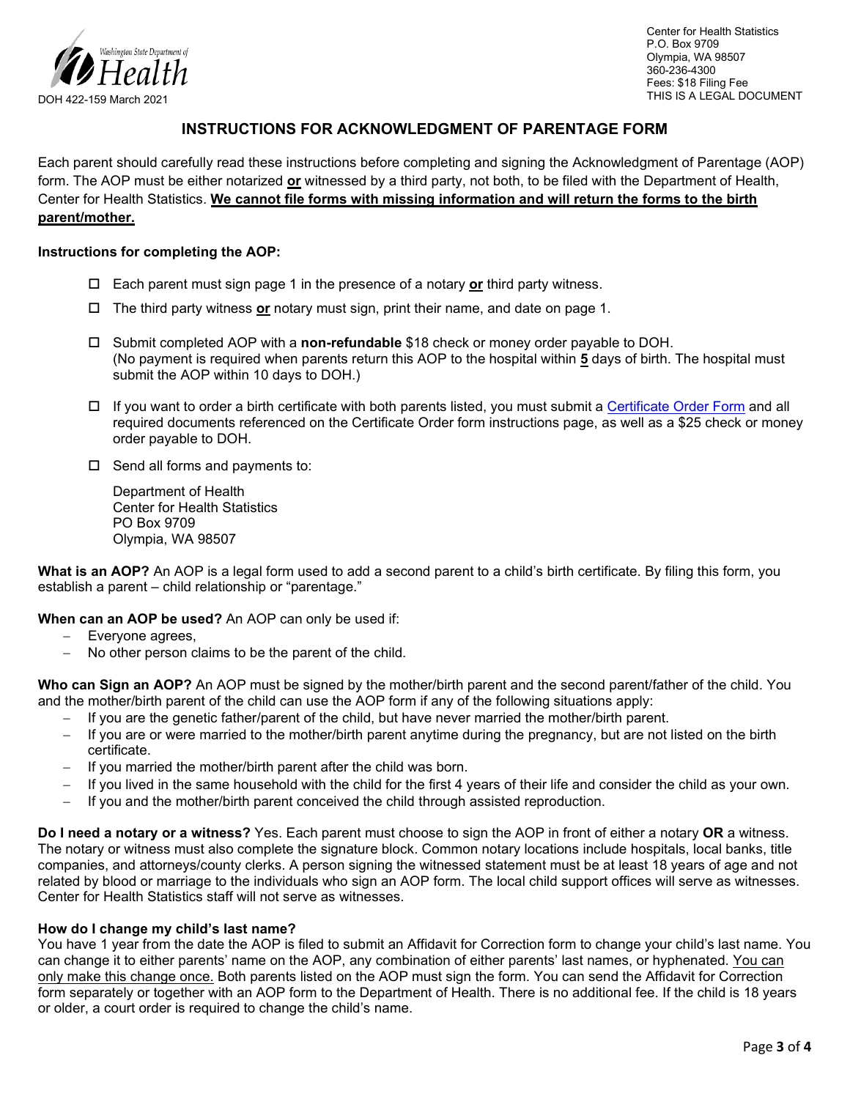

Center for Health Statistics P.O. Box 9709 Olympia, WA 98507 360-236-4300 Fees: \$18 Filing Fee THIS IS A LEGAL DOCUMENT

## **INSTRUCTIONS FOR ACKNOWLEDGMENT OF PARENTAGE FORM**

Each parent should carefully read these instructions before completing and signing the Acknowledgment of Parentage (AOP) form. The AOP must be either notarized **or** witnessed by a third party, not both, to be filed with the Department of Health, Center for Health Statistics. **We cannot file forms with missing information and will return the forms to the birth parent/mother.**

#### **Instructions for completing the AOP:**

- Each parent must sign page 1 in the presence of a notary **or** third party witness.
- The third party witness **or** notary must sign, print their name, and date on page 1.
- Submit completed AOP with a **non-refundable** \$18 check or money order payable to DOH. (No payment is required when parents return this AOP to the hospital within **5** days of birth. The hospital must submit the AOP within 10 days to DOH.)
- $\Box$  If you want to order a birth certificate with both parents listed, you must submit a [Certificate Order Form](https://www.doh.wa.gov/Portals/1/Documents/Pubs/422-182-BirthCertificateOrderForm.pdf) and all required documents referenced on the Certificate Order form instructions page, as well as a \$25 check or money order payable to DOH.
- $\square$  Send all forms and payments to:

Department of Health Center for Health Statistics PO Box 9709 Olympia, WA 98507

**What is an AOP?** An AOP is a legal form used to add a second parent to a child's birth certificate. By filing this form, you establish a parent – child relationship or "parentage."

**When can an AOP be used?** An AOP can only be used if:

- Everyone agrees,
- − No other person claims to be the parent of the child.

**Who can Sign an AOP?** An AOP must be signed by the mother/birth parent and the second parent/father of the child. You and the mother/birth parent of the child can use the AOP form if any of the following situations apply:

- − If you are the genetic father/parent of the child, but have never married the mother/birth parent.
- − If you are or were married to the mother/birth parent anytime during the pregnancy, but are not listed on the birth certificate.
- − If you married the mother/birth parent after the child was born.
- − If you lived in the same household with the child for the first 4 years of their life and consider the child as your own.
- − If you and the mother/birth parent conceived the child through assisted reproduction.

**Do I need a notary or a witness?** Yes. Each parent must choose to sign the AOP in front of either a notary **OR** a witness. The notary or witness must also complete the signature block. Common notary locations include hospitals, local banks, title companies, and attorneys/county clerks. A person signing the witnessed statement must be at least 18 years of age and not related by blood or marriage to the individuals who sign an AOP form. The local child support offices will serve as witnesses. Center for Health Statistics staff will not serve as witnesses.

### **How do I change my child's last name?**

You have 1 year from the date the AOP is filed to submit an Affidavit for Correction form to change your child's last name. You can change it to either parents' name on the AOP, any combination of either parents' last names, or hyphenated. You can only make this change once. Both parents listed on the AOP must sign the form. You can send the Affidavit for Correction form separately or together with an AOP form to the Department of Health. There is no additional fee. If the child is 18 years or older, a court order is required to change the child's name.